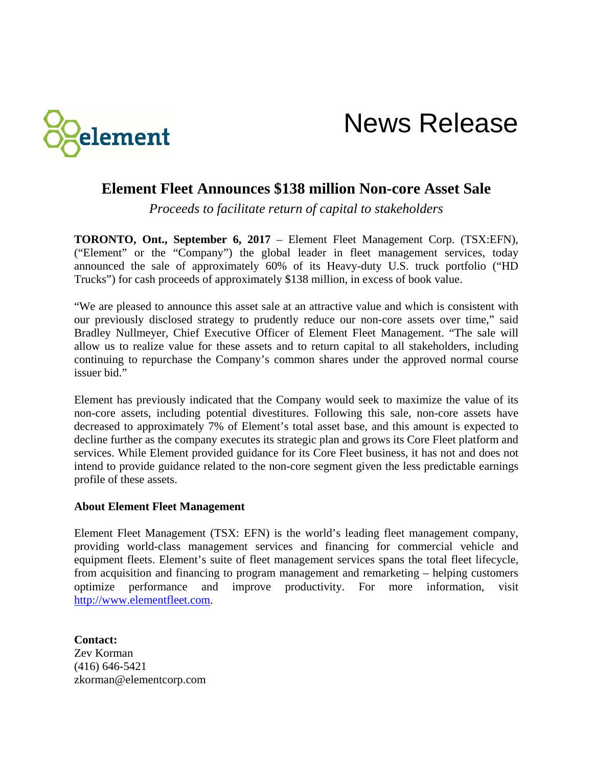

News Release

## **Element Fleet Announces \$138 million Non-core Asset Sale**

*Proceeds to facilitate return of capital to stakeholders*

**TORONTO, Ont., September 6, 2017** – Element Fleet Management Corp. (TSX:EFN), ("Element" or the "Company") the global leader in fleet management services, today announced the sale of approximately 60% of its Heavy-duty U.S. truck portfolio ("HD Trucks") for cash proceeds of approximately \$138 million, in excess of book value.

"We are pleased to announce this asset sale at an attractive value and which is consistent with our previously disclosed strategy to prudently reduce our non-core assets over time," said Bradley Nullmeyer, Chief Executive Officer of Element Fleet Management. "The sale will allow us to realize value for these assets and to return capital to all stakeholders, including continuing to repurchase the Company's common shares under the approved normal course issuer bid."

Element has previously indicated that the Company would seek to maximize the value of its non-core assets, including potential divestitures. Following this sale, non-core assets have decreased to approximately 7% of Element's total asset base, and this amount is expected to decline further as the company executes its strategic plan and grows its Core Fleet platform and services. While Element provided guidance for its Core Fleet business, it has not and does not intend to provide guidance related to the non-core segment given the less predictable earnings profile of these assets.

## **About Element Fleet Management**

Element Fleet Management (TSX: EFN) is the world's leading fleet management company, providing world-class management services and financing for commercial vehicle and equipment fleets. Element's suite of fleet management services spans the total fleet lifecycle, from acquisition and financing to program management and remarketing – helping customers optimize performance and improve productivity. For more information, visit [http://www.elementfleet.com.](http://www.elementfleet.com/)

**Contact:** Zev Korman (416) 646-5421 zkorman@elementcorp.com